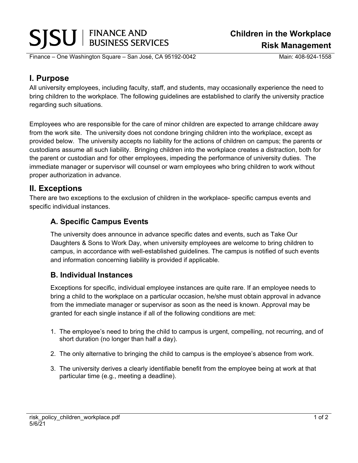# SJSUI FINANCE AND

Finance – One Washington Square – San José, CA 95192-0042 Main: 408-924-1558

**Children in the Workplace Risk Management** 

## **I. Purpose**

All university employees, including faculty, staff, and students, may occasionally experience the need to bring children to the workplace. The following guidelines are established to clarify the university practice regarding such situations.

Employees who are responsible for the care of minor children are expected to arrange childcare away from the work site. The university does not condone bringing children into the workplace, except as provided below. The university accepts no liability for the actions of children on campus; the parents or custodians assume all such liability. Bringing children into the workplace creates a distraction, both for the parent or custodian and for other employees, impeding the performance of university duties. The immediate manager or supervisor will counsel or warn employees who bring children to work without proper authorization in advance.

### **II. Exceptions**

There are two exceptions to the exclusion of children in the workplace- specific campus events and specific individual instances.

### **A. Specific Campus Events**

The university does announce in advance specific dates and events, such as Take Our Daughters & Sons to Work Day, when university employees are welcome to bring children to campus, in accordance with well-established guidelines. The campus is notified of such events and information concerning liability is provided if applicable.

#### **B. Individual Instances**

Exceptions for specific, individual employee instances are quite rare. If an employee needs to bring a child to the workplace on a particular occasion, he/she must obtain approval in advance from the immediate manager or supervisor as soon as the need is known. Approval may be granted for each single instance if all of the following conditions are met:

- 1. The employee's need to bring the child to campus is urgent, compelling, not recurring, and of short duration (no longer than half a day).
- 2. The only alternative to bringing the child to campus is the employee's absence from work.
- 3. The university derives a clearly identifiable benefit from the employee being at work at that particular time (e.g., meeting a deadline).